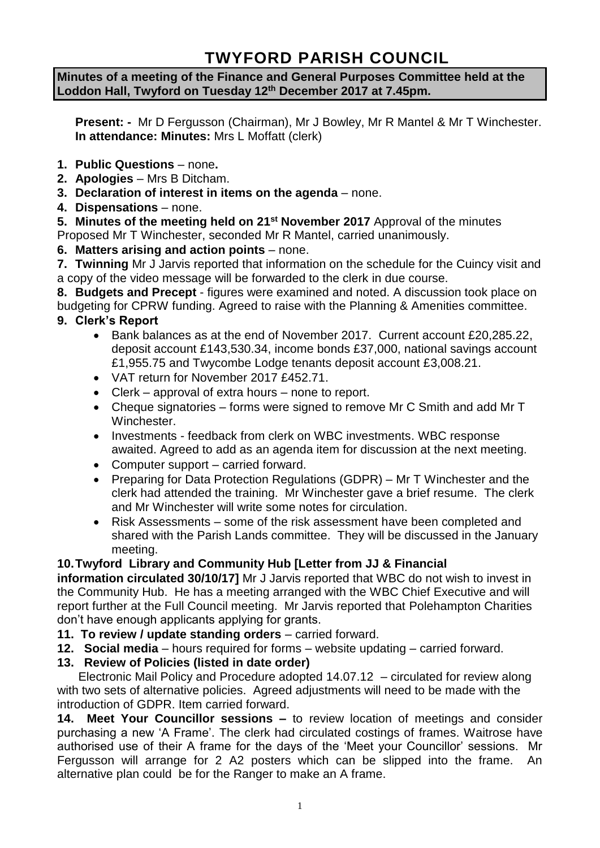# **TWYFORD PARISH COUNCIL**

**Minutes of a meeting of the Finance and General Purposes Committee held at the Loddon Hall, Twyford on Tuesday 12th December 2017 at 7.45pm.**

**Present: -** Mr D Fergusson (Chairman), Mr J Bowley, Mr R Mantel & Mr T Winchester. **In attendance: Minutes:** Mrs L Moffatt (clerk)

- **1. Public Questions** none**.**
- **2. Apologies** Mrs B Ditcham.
- **3. Declaration of interest in items on the agenda**  none.
- **4. Dispensations**  none.

**5. Minutes of the meeting held on 21st November 2017** Approval of the minutes Proposed Mr T Winchester, seconded Mr R Mantel, carried unanimously.

**6. Matters arising and action points** – none.

**7. Twinning** Mr J Jarvis reported that information on the schedule for the Cuincy visit and a copy of the video message will be forwarded to the clerk in due course.

**8. Budgets and Precept** - figures were examined and noted. A discussion took place on budgeting for CPRW funding. Agreed to raise with the Planning & Amenities committee. **9. Clerk's Report**

- Bank balances as at the end of November 2017. Current account £20,285.22, deposit account £143,530.34, income bonds £37,000, national savings account £1,955.75 and Twycombe Lodge tenants deposit account £3,008.21.
- VAT return for November 2017 £452.71.
- Clerk approval of extra hours none to report.
- Cheque signatories forms were signed to remove Mr C Smith and add Mr T Winchester.
- Investments feedback from clerk on WBC investments. WBC response awaited. Agreed to add as an agenda item for discussion at the next meeting.
- Computer support carried forward.
- Preparing for Data Protection Regulations (GDPR) Mr T Winchester and the clerk had attended the training. Mr Winchester gave a brief resume. The clerk and Mr Winchester will write some notes for circulation.
- Risk Assessments some of the risk assessment have been completed and shared with the Parish Lands committee. They will be discussed in the January meeting.

# **10.Twyford Library and Community Hub [Letter from JJ & Financial**

**information circulated 30/10/17]** Mr J Jarvis reported that WBC do not wish to invest in the Community Hub. He has a meeting arranged with the WBC Chief Executive and will report further at the Full Council meeting. Mr Jarvis reported that Polehampton Charities don't have enough applicants applying for grants.

- **11. To review / update standing orders** carried forward.
- **12. Social media**  hours required for forms website updating carried forward.

# **13. Review of Policies (listed in date order)**

Electronic Mail Policy and Procedure adopted 14.07.12 – circulated for review along with two sets of alternative policies. Agreed adjustments will need to be made with the introduction of GDPR. Item carried forward.

**14. Meet Your Councillor sessions –** to review location of meetings and consider purchasing a new 'A Frame'. The clerk had circulated costings of frames. Waitrose have authorised use of their A frame for the days of the 'Meet your Councillor' sessions. Mr Fergusson will arrange for 2 A2 posters which can be slipped into the frame. An alternative plan could be for the Ranger to make an A frame.